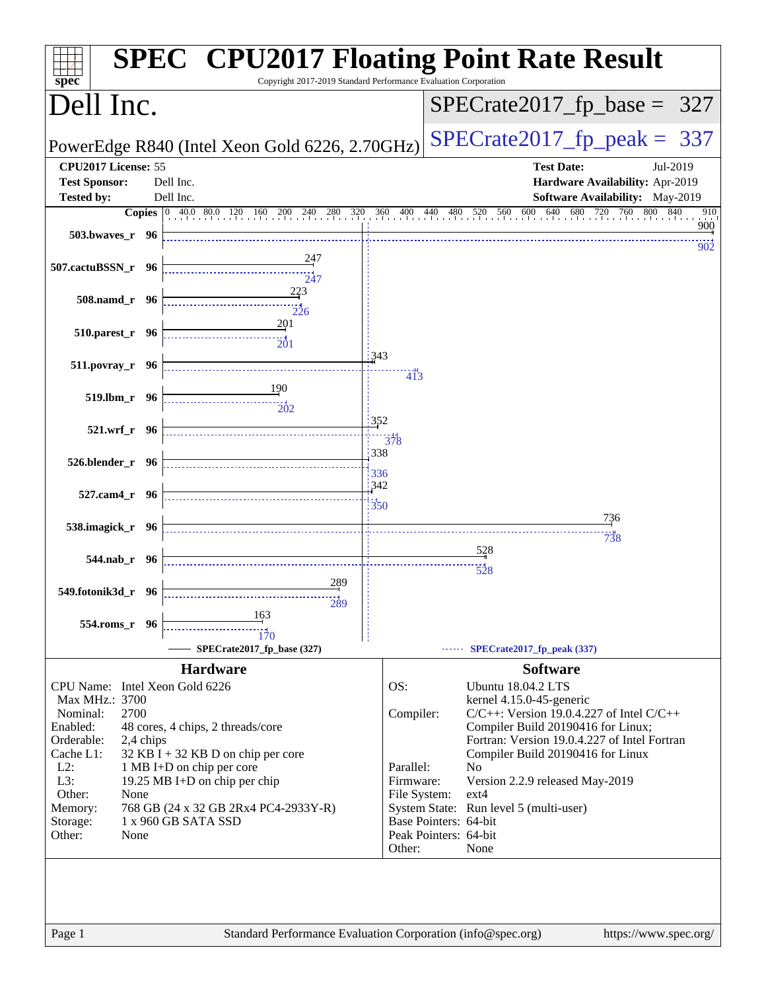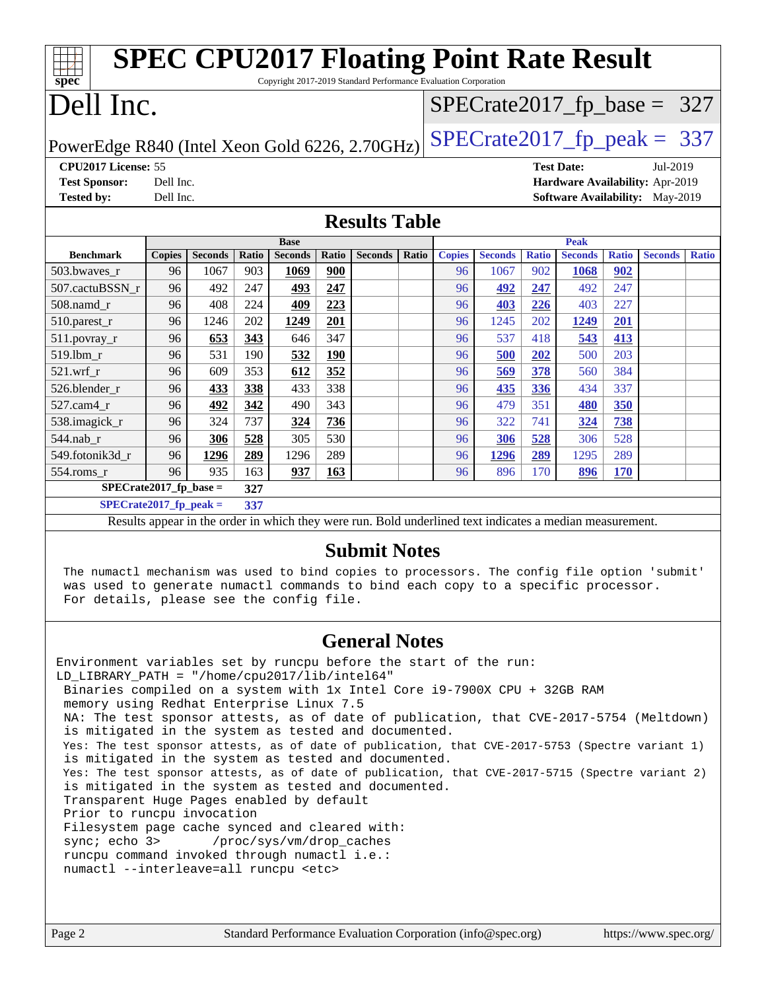|                                                                                                                                                                                  |                                                                                 |                |            |                |              | <b>SPEC CPU2017 Floating Point Rate Result</b>                                                           |       |               |                |              |                |              |                               |              |
|----------------------------------------------------------------------------------------------------------------------------------------------------------------------------------|---------------------------------------------------------------------------------|----------------|------------|----------------|--------------|----------------------------------------------------------------------------------------------------------|-------|---------------|----------------|--------------|----------------|--------------|-------------------------------|--------------|
| Copyright 2017-2019 Standard Performance Evaluation Corporation<br>spec <sup>®</sup>                                                                                             |                                                                                 |                |            |                |              |                                                                                                          |       |               |                |              |                |              |                               |              |
| Dell Inc.                                                                                                                                                                        |                                                                                 |                |            |                |              |                                                                                                          |       |               |                |              |                |              | $SPECrate2017_fp\_base = 327$ |              |
|                                                                                                                                                                                  | $SPECrate2017_fp\_peak = 337$<br>PowerEdge R840 (Intel Xeon Gold 6226, 2.70GHz) |                |            |                |              |                                                                                                          |       |               |                |              |                |              |                               |              |
| CPU2017 License: 55<br><b>Test Date:</b><br>Jul-2019                                                                                                                             |                                                                                 |                |            |                |              |                                                                                                          |       |               |                |              |                |              |                               |              |
| <b>Test Sponsor:</b><br>Hardware Availability: Apr-2019<br>Dell Inc.                                                                                                             |                                                                                 |                |            |                |              |                                                                                                          |       |               |                |              |                |              |                               |              |
| <b>Tested by:</b><br>Dell Inc.<br>Software Availability: May-2019                                                                                                                |                                                                                 |                |            |                |              |                                                                                                          |       |               |                |              |                |              |                               |              |
|                                                                                                                                                                                  |                                                                                 |                |            |                |              | <b>Results Table</b>                                                                                     |       |               |                |              |                |              |                               |              |
|                                                                                                                                                                                  |                                                                                 |                |            | <b>Base</b>    |              |                                                                                                          |       |               |                |              | <b>Peak</b>    |              |                               |              |
| <b>Benchmark</b>                                                                                                                                                                 | <b>Copies</b>                                                                   | <b>Seconds</b> | Ratio      | <b>Seconds</b> | <b>Ratio</b> | <b>Seconds</b>                                                                                           | Ratio | <b>Copies</b> | <b>Seconds</b> | <b>Ratio</b> | <b>Seconds</b> | <b>Ratio</b> | <b>Seconds</b>                | <b>Ratio</b> |
| 503.bwaves_r                                                                                                                                                                     | 96                                                                              | 1067           | 903        | 1069           | 900          |                                                                                                          |       | 96            | 1067           | 902          | 1068           | 902          |                               |              |
| 507.cactuBSSN_r                                                                                                                                                                  | 96                                                                              | 492<br>408     | 247<br>224 | 493            | 247          |                                                                                                          |       | 96            | 492            | 247          | 492            | 247<br>227   |                               |              |
| 508.namd_r<br>510.parest_r                                                                                                                                                       | 96<br>96                                                                        | 1246           | 202        | 409<br>1249    | 223<br>201   |                                                                                                          |       | 96<br>96      | 403<br>1245    | 226<br>202   | 403<br>1249    | 201          |                               |              |
| $511.povray_r$                                                                                                                                                                   | 96                                                                              | 653            | 343        | 646            | 347          |                                                                                                          |       | 96            | 537            | 418          | 543            | 413          |                               |              |
| 519.1bm_r                                                                                                                                                                        | 96                                                                              | 531            | 190        | 532            | <u>190</u>   |                                                                                                          |       | 96            | 500            | 202          | 500            | 203          |                               |              |
| $521.wrf_r$                                                                                                                                                                      | 96                                                                              | 609            | 353        | 612            | 352          |                                                                                                          |       | 96            | 569            | 378          | 560            | 384          |                               |              |
| 526.blender_r                                                                                                                                                                    | 96                                                                              | 433            | 338        | 433            | 338          |                                                                                                          |       | 96            | 435            | 336          | 434            | 337          |                               |              |
| 527.cam4_r                                                                                                                                                                       | 96                                                                              | 492            | 342        | 490            | 343          |                                                                                                          |       | 96            | 479            | 351          | 480            | 350          |                               |              |
| 538.imagick_r                                                                                                                                                                    | 96                                                                              | 324            | 737        | 324            | 736          |                                                                                                          |       | 96            | 322            | 741          | 324            | 738          |                               |              |
| 544.nab_r                                                                                                                                                                        | 96                                                                              | 306            | 528        | 305            | 530          |                                                                                                          |       | 96            | 306            | 528          | 306            | 528          |                               |              |
| 549.fotonik3d_r                                                                                                                                                                  | 96                                                                              | 1296           | 289        | 1296           | 289          |                                                                                                          |       | 96            | 1296           | 289          | 1295           | 289          |                               |              |
| $554$ .roms_r                                                                                                                                                                    | 96                                                                              | 935            | 163        | 937            | 163          |                                                                                                          |       | 96            | 896            | 170          | 896            | <b>170</b>   |                               |              |
| $SPECrate2017_fp\_base =$                                                                                                                                                        |                                                                                 |                | 327        |                |              |                                                                                                          |       |               |                |              |                |              |                               |              |
| $SPECrate2017_fp\_peak =$                                                                                                                                                        |                                                                                 |                | 337        |                |              |                                                                                                          |       |               |                |              |                |              |                               |              |
|                                                                                                                                                                                  |                                                                                 |                |            |                |              | Results appear in the order in which they were run. Bold underlined text indicates a median measurement. |       |               |                |              |                |              |                               |              |
| <b>Submit Notes</b>                                                                                                                                                              |                                                                                 |                |            |                |              |                                                                                                          |       |               |                |              |                |              |                               |              |
| The numactl mechanism was used to bind copies to processors. The config file option 'submit'<br>was used to generate numactl commands to bind each copy to a specific processor. |                                                                                 |                |            |                |              |                                                                                                          |       |               |                |              |                |              |                               |              |
| For details, please see the config file.                                                                                                                                         |                                                                                 |                |            |                |              |                                                                                                          |       |               |                |              |                |              |                               |              |
| <b>General Notes</b>                                                                                                                                                             |                                                                                 |                |            |                |              |                                                                                                          |       |               |                |              |                |              |                               |              |
| Environment variables set by runcpu before the start of the run:                                                                                                                 |                                                                                 |                |            |                |              |                                                                                                          |       |               |                |              |                |              |                               |              |
| LD_LIBRARY_PATH = "/home/cpu2017/lib/intel64"<br>Binaries compiled on a system with 1x Intel Core i9-7900X CPU + 32GB RAM                                                        |                                                                                 |                |            |                |              |                                                                                                          |       |               |                |              |                |              |                               |              |
| memory using Redhat Enterprise Linux 7.5                                                                                                                                         |                                                                                 |                |            |                |              |                                                                                                          |       |               |                |              |                |              |                               |              |
| NA: The test sponsor attests, as of date of publication, that CVE-2017-5754 (Meltdown)                                                                                           |                                                                                 |                |            |                |              |                                                                                                          |       |               |                |              |                |              |                               |              |
| is mitigated in the system as tested and documented.                                                                                                                             |                                                                                 |                |            |                |              |                                                                                                          |       |               |                |              |                |              |                               |              |

 Yes: The test sponsor attests, as of date of publication, that CVE-2017-5753 (Spectre variant 1) is mitigated in the system as tested and documented.

 Yes: The test sponsor attests, as of date of publication, that CVE-2017-5715 (Spectre variant 2) is mitigated in the system as tested and documented. Transparent Huge Pages enabled by default

Prior to runcpu invocation

 Filesystem page cache synced and cleared with: sync; echo 3> /proc/sys/vm/drop\_caches

 runcpu command invoked through numactl i.e.: numactl --interleave=all runcpu <etc>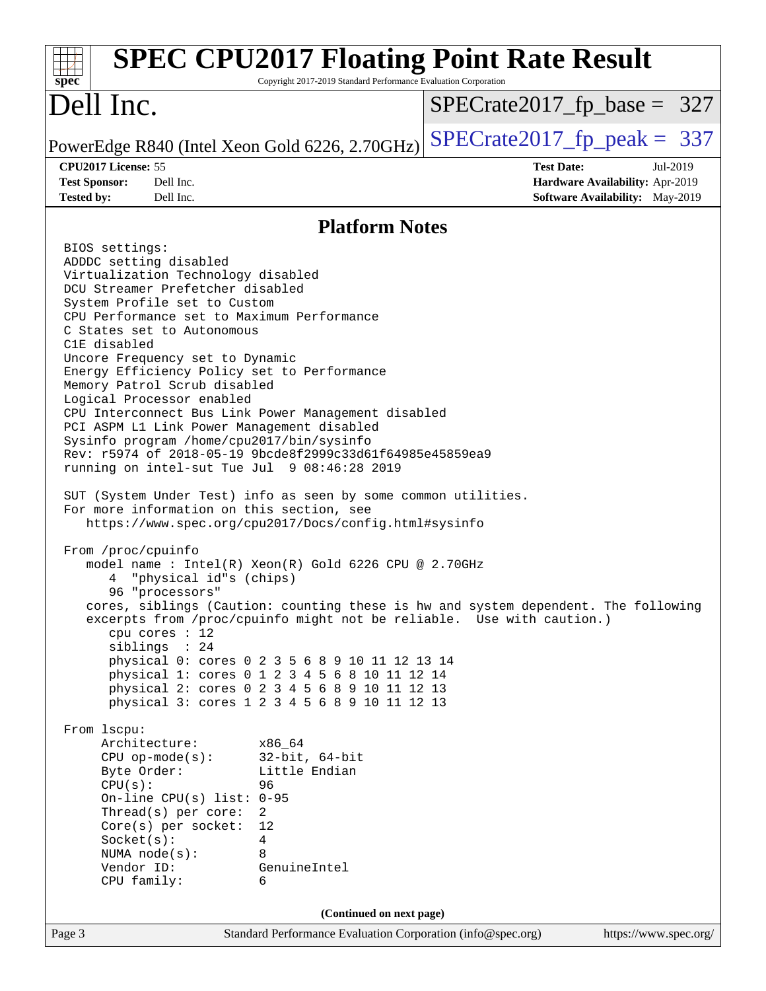| <b>SPEC CPU2017 Floating Point Rate Result</b><br>spec<br>Copyright 2017-2019 Standard Performance Evaluation Corporation                                                                                                                                                                                                                                                                                                                                                                                                                                                                                                                                                                                                                                                                                                                                                                                                                                                                                                                                                                                                                                                                                                                                                                                                                                                                                                                                                                                                                                                                                                                                                                                    |                                                                                                            |
|--------------------------------------------------------------------------------------------------------------------------------------------------------------------------------------------------------------------------------------------------------------------------------------------------------------------------------------------------------------------------------------------------------------------------------------------------------------------------------------------------------------------------------------------------------------------------------------------------------------------------------------------------------------------------------------------------------------------------------------------------------------------------------------------------------------------------------------------------------------------------------------------------------------------------------------------------------------------------------------------------------------------------------------------------------------------------------------------------------------------------------------------------------------------------------------------------------------------------------------------------------------------------------------------------------------------------------------------------------------------------------------------------------------------------------------------------------------------------------------------------------------------------------------------------------------------------------------------------------------------------------------------------------------------------------------------------------------|------------------------------------------------------------------------------------------------------------|
| Dell Inc.                                                                                                                                                                                                                                                                                                                                                                                                                                                                                                                                                                                                                                                                                                                                                                                                                                                                                                                                                                                                                                                                                                                                                                                                                                                                                                                                                                                                                                                                                                                                                                                                                                                                                                    | $SPECrate2017_fp\_base = 327$                                                                              |
| PowerEdge R840 (Intel Xeon Gold 6226, 2.70GHz)                                                                                                                                                                                                                                                                                                                                                                                                                                                                                                                                                                                                                                                                                                                                                                                                                                                                                                                                                                                                                                                                                                                                                                                                                                                                                                                                                                                                                                                                                                                                                                                                                                                               | $SPECTate2017$ _fp_peak = 337                                                                              |
| CPU2017 License: 55<br><b>Test Sponsor:</b><br>Dell Inc.<br><b>Tested by:</b><br>Dell Inc.                                                                                                                                                                                                                                                                                                                                                                                                                                                                                                                                                                                                                                                                                                                                                                                                                                                                                                                                                                                                                                                                                                                                                                                                                                                                                                                                                                                                                                                                                                                                                                                                                   | <b>Test Date:</b><br>Jul-2019<br>Hardware Availability: Apr-2019<br><b>Software Availability:</b> May-2019 |
| <b>Platform Notes</b>                                                                                                                                                                                                                                                                                                                                                                                                                                                                                                                                                                                                                                                                                                                                                                                                                                                                                                                                                                                                                                                                                                                                                                                                                                                                                                                                                                                                                                                                                                                                                                                                                                                                                        |                                                                                                            |
| BIOS settings:<br>ADDDC setting disabled<br>Virtualization Technology disabled<br>DCU Streamer Prefetcher disabled<br>System Profile set to Custom<br>CPU Performance set to Maximum Performance<br>C States set to Autonomous<br>C1E disabled<br>Uncore Frequency set to Dynamic<br>Energy Efficiency Policy set to Performance<br>Memory Patrol Scrub disabled<br>Logical Processor enabled<br>CPU Interconnect Bus Link Power Management disabled<br>PCI ASPM L1 Link Power Management disabled<br>Sysinfo program /home/cpu2017/bin/sysinfo<br>Rev: r5974 of 2018-05-19 9bcde8f2999c33d61f64985e45859ea9<br>running on intel-sut Tue Jul 9 08:46:28 2019<br>SUT (System Under Test) info as seen by some common utilities.<br>For more information on this section, see<br>https://www.spec.org/cpu2017/Docs/config.html#sysinfo<br>From /proc/cpuinfo<br>model name : Intel(R) Xeon(R) Gold 6226 CPU @ 2.70GHz<br>"physical id"s (chips)<br>96 "processors"<br>cores, siblings (Caution: counting these is hw and system dependent. The following<br>excerpts from /proc/cpuinfo might not be reliable. Use with caution.)<br>$cpu$ cores : 12<br>siblings : 24<br>physical 0: cores 0 2 3 5 6 8 9 10 11 12 13 14<br>physical 1: cores 0 1 2 3 4 5 6 8 10 11 12 14<br>physical 2: cores 0 2 3 4 5 6 8 9 10 11 12 13<br>physical 3: cores 1 2 3 4 5 6 8 9 10 11 12 13<br>From 1scpu:<br>Architecture:<br>x86_64<br>$CPU$ op-mode( $s$ ):<br>$32$ -bit, $64$ -bit<br>Little Endian<br>Byte Order:<br>CPU(s):<br>96<br>On-line CPU(s) list: $0-95$<br>Thread(s) per core:<br>2<br>$Core(s)$ per socket:<br>12<br>Socket(s):<br>4<br>8<br>NUMA $node(s):$<br>Vendor ID:<br>GenuineIntel<br>CPU family:<br>6 |                                                                                                            |
| (Continued on next page)                                                                                                                                                                                                                                                                                                                                                                                                                                                                                                                                                                                                                                                                                                                                                                                                                                                                                                                                                                                                                                                                                                                                                                                                                                                                                                                                                                                                                                                                                                                                                                                                                                                                                     |                                                                                                            |
| Standard Performance Evaluation Corporation (info@spec.org)<br>Page 3                                                                                                                                                                                                                                                                                                                                                                                                                                                                                                                                                                                                                                                                                                                                                                                                                                                                                                                                                                                                                                                                                                                                                                                                                                                                                                                                                                                                                                                                                                                                                                                                                                        | https://www.spec.org/                                                                                      |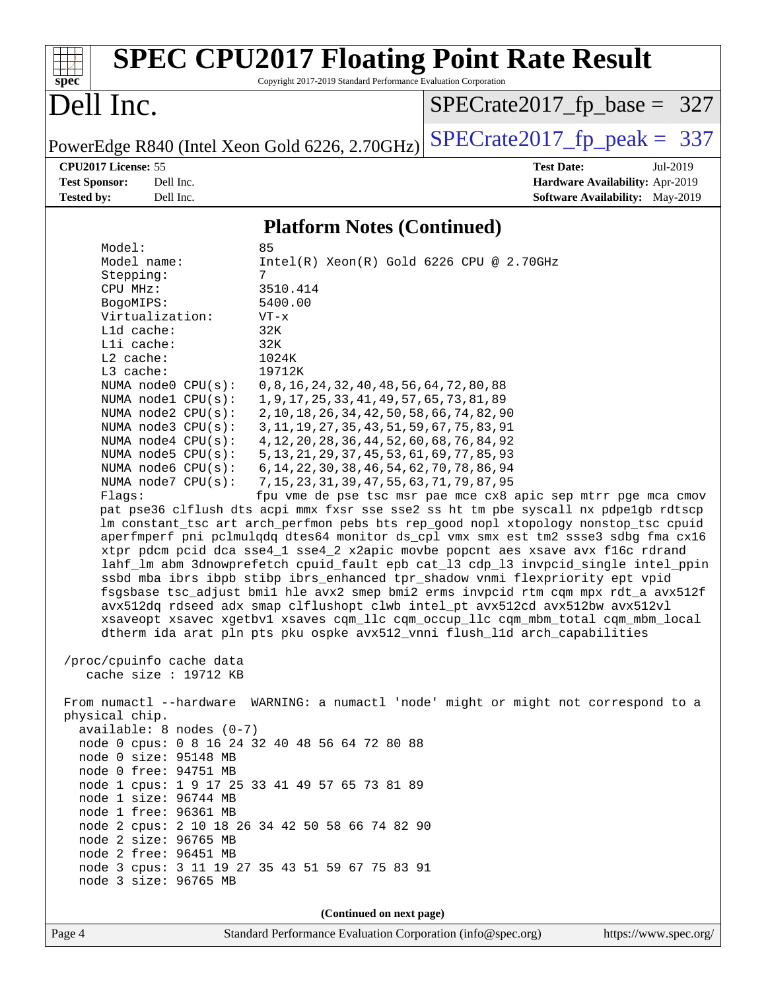| $spec^*$                                                                                                                                                                                                                                                                                                                                                                    |                                                                                                                                                                                                                                              | <b>SPEC CPU2017 Floating Point Rate Result</b><br>Copyright 2017-2019 Standard Performance Evaluation Corporation                                                                                                                                                                                                                                                                                                                                                                                                                                                                                                                                                                                                                                                                                                                                  |                                                                                                                                                                                                                                                                                                                                                                                                                                                                                                                                                                                                                                                                                                                                                                                                                                                                                                                                            |
|-----------------------------------------------------------------------------------------------------------------------------------------------------------------------------------------------------------------------------------------------------------------------------------------------------------------------------------------------------------------------------|----------------------------------------------------------------------------------------------------------------------------------------------------------------------------------------------------------------------------------------------|----------------------------------------------------------------------------------------------------------------------------------------------------------------------------------------------------------------------------------------------------------------------------------------------------------------------------------------------------------------------------------------------------------------------------------------------------------------------------------------------------------------------------------------------------------------------------------------------------------------------------------------------------------------------------------------------------------------------------------------------------------------------------------------------------------------------------------------------------|--------------------------------------------------------------------------------------------------------------------------------------------------------------------------------------------------------------------------------------------------------------------------------------------------------------------------------------------------------------------------------------------------------------------------------------------------------------------------------------------------------------------------------------------------------------------------------------------------------------------------------------------------------------------------------------------------------------------------------------------------------------------------------------------------------------------------------------------------------------------------------------------------------------------------------------------|
| Dell Inc.                                                                                                                                                                                                                                                                                                                                                                   |                                                                                                                                                                                                                                              |                                                                                                                                                                                                                                                                                                                                                                                                                                                                                                                                                                                                                                                                                                                                                                                                                                                    | $SPECrate2017_fp\_base = 327$                                                                                                                                                                                                                                                                                                                                                                                                                                                                                                                                                                                                                                                                                                                                                                                                                                                                                                              |
|                                                                                                                                                                                                                                                                                                                                                                             |                                                                                                                                                                                                                                              | PowerEdge R840 (Intel Xeon Gold 6226, 2.70GHz)                                                                                                                                                                                                                                                                                                                                                                                                                                                                                                                                                                                                                                                                                                                                                                                                     | $SPECrate2017_fp\_peak = 337$                                                                                                                                                                                                                                                                                                                                                                                                                                                                                                                                                                                                                                                                                                                                                                                                                                                                                                              |
| CPU2017 License: 55<br><b>Test Sponsor:</b><br><b>Tested by:</b>                                                                                                                                                                                                                                                                                                            | Dell Inc.<br>Dell Inc.                                                                                                                                                                                                                       |                                                                                                                                                                                                                                                                                                                                                                                                                                                                                                                                                                                                                                                                                                                                                                                                                                                    | <b>Test Date:</b><br>Jul-2019<br>Hardware Availability: Apr-2019<br><b>Software Availability:</b> May-2019                                                                                                                                                                                                                                                                                                                                                                                                                                                                                                                                                                                                                                                                                                                                                                                                                                 |
|                                                                                                                                                                                                                                                                                                                                                                             |                                                                                                                                                                                                                                              | <b>Platform Notes (Continued)</b>                                                                                                                                                                                                                                                                                                                                                                                                                                                                                                                                                                                                                                                                                                                                                                                                                  |                                                                                                                                                                                                                                                                                                                                                                                                                                                                                                                                                                                                                                                                                                                                                                                                                                                                                                                                            |
| Model:<br>Model name:<br>Stepping:<br>CPU MHz:<br>BogoMIPS:<br>Virtualization:<br>L1d cache:<br>Lli cache:<br>L2 cache:<br>L3 cache:<br>Flaqs:<br>/proc/cpuinfo cache data<br>physical chip.<br>node 0 size: 95148 MB<br>node 0 free: 94751 MB<br>node 1 size: 96744 MB<br>node 1 free: 96361 MB<br>node 2 size: 96765 MB<br>node 2 free: 96451 MB<br>node 3 size: 96765 MB | NUMA node0 CPU(s):<br>NUMA nodel CPU(s):<br>NUMA node2 CPU(s):<br>NUMA node3 CPU(s):<br>NUMA $node4$ $CPU(s)$ :<br>NUMA $node5$ $CPU(s):$<br>NUMA node6 CPU(s):<br>NUMA node7 CPU(s):<br>cache size : 19712 KB<br>$available: 8 nodes (0-7)$ | 85<br>$Intel(R) Xeon(R) Gold 6226 CPU @ 2.70GHz$<br>7<br>3510.414<br>5400.00<br>$VT - x$<br>32K<br>32K<br>1024K<br>19712K<br>0, 8, 16, 24, 32, 40, 48, 56, 64, 72, 80, 88<br>1, 9, 17, 25, 33, 41, 49, 57, 65, 73, 81, 89<br>2, 10, 18, 26, 34, 42, 50, 58, 66, 74, 82, 90<br>3, 11, 19, 27, 35, 43, 51, 59, 67, 75, 83, 91<br>4, 12, 20, 28, 36, 44, 52, 60, 68, 76, 84, 92<br>5, 13, 21, 29, 37, 45, 53, 61, 69, 77, 85, 93<br>6, 14, 22, 30, 38, 46, 54, 62, 70, 78, 86, 94<br>7, 15, 23, 31, 39, 47, 55, 63, 71, 79, 87, 95<br>dtherm ida arat pln pts pku ospke avx512_vnni flush_lld arch_capabilities<br>node 0 cpus: 0 8 16 24 32 40 48 56 64 72 80 88<br>node 1 cpus: 1 9 17 25 33 41 49 57 65 73 81 89<br>node 2 cpus: 2 10 18 26 34 42 50 58 66 74 82 90<br>node 3 cpus: 3 11 19 27 35 43 51 59 67 75 83 91<br>(Continued on next page) | fpu vme de pse tsc msr pae mce cx8 apic sep mtrr pge mca cmov<br>pat pse36 clflush dts acpi mmx fxsr sse sse2 ss ht tm pbe syscall nx pdpe1gb rdtscp<br>lm constant_tsc art arch_perfmon pebs bts rep_good nopl xtopology nonstop_tsc cpuid<br>aperfmperf pni pclmulqdq dtes64 monitor ds_cpl vmx smx est tm2 ssse3 sdbg fma cx16<br>xtpr pdcm pcid dca sse4_1 sse4_2 x2apic movbe popcnt aes xsave avx f16c rdrand<br>lahf_lm abm 3dnowprefetch cpuid_fault epb cat_13 cdp_13 invpcid_single intel_ppin<br>ssbd mba ibrs ibpb stibp ibrs_enhanced tpr_shadow vnmi flexpriority ept vpid<br>fsgsbase tsc_adjust bmil hle avx2 smep bmi2 erms invpcid rtm cqm mpx rdt_a avx512f<br>avx512dq rdseed adx smap clflushopt clwb intel_pt avx512cd avx512bw avx512vl<br>xsaveopt xsavec xgetbvl xsaves cqm_llc cqm_occup_llc cqm_mbm_total cqm_mbm_local<br>From numactl --hardware WARNING: a numactl 'node' might or might not correspond to a |
|                                                                                                                                                                                                                                                                                                                                                                             |                                                                                                                                                                                                                                              |                                                                                                                                                                                                                                                                                                                                                                                                                                                                                                                                                                                                                                                                                                                                                                                                                                                    |                                                                                                                                                                                                                                                                                                                                                                                                                                                                                                                                                                                                                                                                                                                                                                                                                                                                                                                                            |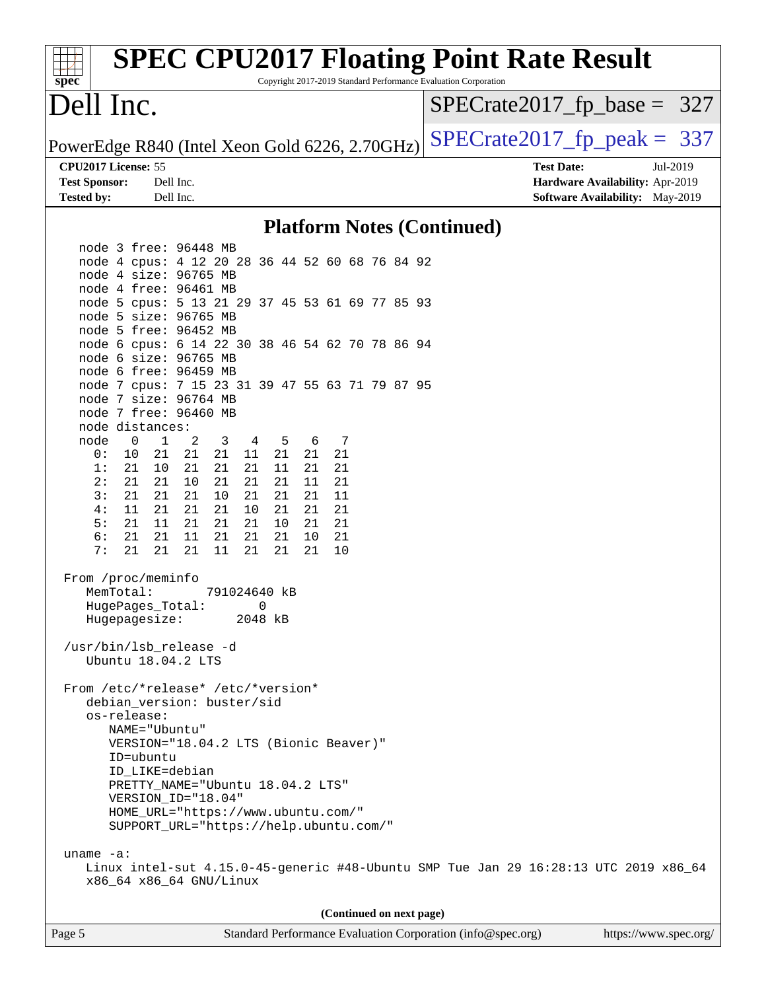| spec <sup>®</sup>                              | <b>SPEC CPU2017 Floating Point Rate Result</b>                                       |           |              |          |          |          |          |   |  |                          | Copyright 2017-2019 Standard Performance Evaluation Corporation |  |                               |  |                                        |  |
|------------------------------------------------|--------------------------------------------------------------------------------------|-----------|--------------|----------|----------|----------|----------|---|--|--------------------------|-----------------------------------------------------------------|--|-------------------------------|--|----------------------------------------|--|
| Dell Inc.                                      |                                                                                      |           |              |          |          |          |          |   |  |                          |                                                                 |  | $SPECrate2017_fp\_base = 327$ |  |                                        |  |
| PowerEdge R840 (Intel Xeon Gold 6226, 2.70GHz) |                                                                                      |           |              |          |          |          |          |   |  |                          |                                                                 |  | $SPECrate2017fp peak = 337$   |  |                                        |  |
| CPU2017 License: 55                            |                                                                                      |           |              |          |          |          |          |   |  |                          |                                                                 |  | <b>Test Date:</b>             |  | Jul-2019                               |  |
| <b>Test Sponsor:</b>                           |                                                                                      | Dell Inc. |              |          |          |          |          |   |  |                          |                                                                 |  |                               |  | Hardware Availability: Apr-2019        |  |
| <b>Tested by:</b>                              |                                                                                      | Dell Inc. |              |          |          |          |          |   |  |                          |                                                                 |  |                               |  | <b>Software Availability:</b> May-2019 |  |
|                                                |                                                                                      |           |              |          |          |          |          |   |  |                          | <b>Platform Notes (Continued)</b>                               |  |                               |  |                                        |  |
|                                                | node 3 free: 96448 MB                                                                |           |              |          |          |          |          |   |  |                          |                                                                 |  |                               |  |                                        |  |
|                                                | node 4 cpus: 4 12 20 28 36 44 52 60 68 76 84 92                                      |           |              |          |          |          |          |   |  |                          |                                                                 |  |                               |  |                                        |  |
|                                                | node 4 size: 96765 MB                                                                |           |              |          |          |          |          |   |  |                          |                                                                 |  |                               |  |                                        |  |
|                                                | node 4 free: 96461 MB                                                                |           |              |          |          |          |          |   |  |                          |                                                                 |  |                               |  |                                        |  |
|                                                | node 5 cpus: 5 13 21 29 37 45 53 61 69 77 85 93                                      |           |              |          |          |          |          |   |  |                          |                                                                 |  |                               |  |                                        |  |
|                                                | node 5 size: 96765 MB<br>node 5 free: 96452 MB                                       |           |              |          |          |          |          |   |  |                          |                                                                 |  |                               |  |                                        |  |
|                                                | node 6 cpus: 6 14 22 30 38 46 54 62 70 78 86 94                                      |           |              |          |          |          |          |   |  |                          |                                                                 |  |                               |  |                                        |  |
|                                                | node 6 size: 96765 MB                                                                |           |              |          |          |          |          |   |  |                          |                                                                 |  |                               |  |                                        |  |
|                                                | node 6 free: 96459 MB                                                                |           |              |          |          |          |          |   |  |                          |                                                                 |  |                               |  |                                        |  |
|                                                | node 7 cpus: 7 15 23 31 39 47 55 63 71 79 87 95                                      |           |              |          |          |          |          |   |  |                          |                                                                 |  |                               |  |                                        |  |
|                                                | node 7 size: 96764 MB                                                                |           |              |          |          |          |          |   |  |                          |                                                                 |  |                               |  |                                        |  |
|                                                | node 7 free: 96460 MB                                                                |           |              |          |          |          |          |   |  |                          |                                                                 |  |                               |  |                                        |  |
|                                                | node distances:                                                                      |           |              |          |          |          |          |   |  |                          |                                                                 |  |                               |  |                                        |  |
| node                                           | $\mathbf 0$<br>$\mathbf{1}$                                                          | 2         | 3            | 4        | -5       | 6        |          | 7 |  |                          |                                                                 |  |                               |  |                                        |  |
| 0:<br>1:                                       | 10<br>21<br>21                                                                       | 21<br>21  | 21<br>21     | 11<br>21 | 21<br>11 | 21<br>21 | 21<br>21 |   |  |                          |                                                                 |  |                               |  |                                        |  |
| 2:                                             | 10<br>21<br>21                                                                       | 10        | 21           | 21       | 21       | 11       | 21       |   |  |                          |                                                                 |  |                               |  |                                        |  |
| 3:                                             | 21<br>21                                                                             | 21        | 10           | 21       | 21       | 21       | 11       |   |  |                          |                                                                 |  |                               |  |                                        |  |
| 4:                                             | 21<br>11                                                                             | 21        | 21           | 10       | 21       | 21       | 21       |   |  |                          |                                                                 |  |                               |  |                                        |  |
| 5:                                             | 11<br>21                                                                             | 21        | 21           | 21       | 10       | 21       | 21       |   |  |                          |                                                                 |  |                               |  |                                        |  |
| 6:                                             | 21<br>21                                                                             | 11        | 21           | 21       | 21       | 10       | 21       |   |  |                          |                                                                 |  |                               |  |                                        |  |
| 7:                                             | 21<br>21                                                                             | 21        | 11           | 21       | 21       | 21       | 10       |   |  |                          |                                                                 |  |                               |  |                                        |  |
|                                                |                                                                                      |           |              |          |          |          |          |   |  |                          |                                                                 |  |                               |  |                                        |  |
|                                                | From /proc/meminfo<br>MemTotal:                                                      |           | 791024640 kB |          |          |          |          |   |  |                          |                                                                 |  |                               |  |                                        |  |
|                                                | HugePages_Total:                                                                     |           |              | 0        |          |          |          |   |  |                          |                                                                 |  |                               |  |                                        |  |
|                                                | Hugepagesize:                                                                        |           |              | 2048 kB  |          |          |          |   |  |                          |                                                                 |  |                               |  |                                        |  |
|                                                |                                                                                      |           |              |          |          |          |          |   |  |                          |                                                                 |  |                               |  |                                        |  |
|                                                | /usr/bin/lsb_release -d                                                              |           |              |          |          |          |          |   |  |                          |                                                                 |  |                               |  |                                        |  |
|                                                | Ubuntu 18.04.2 LTS                                                                   |           |              |          |          |          |          |   |  |                          |                                                                 |  |                               |  |                                        |  |
|                                                |                                                                                      |           |              |          |          |          |          |   |  |                          |                                                                 |  |                               |  |                                        |  |
|                                                | From /etc/*release* /etc/*version*<br>debian_version: buster/sid                     |           |              |          |          |          |          |   |  |                          |                                                                 |  |                               |  |                                        |  |
|                                                | os-release:                                                                          |           |              |          |          |          |          |   |  |                          |                                                                 |  |                               |  |                                        |  |
|                                                | NAME="Ubuntu"                                                                        |           |              |          |          |          |          |   |  |                          |                                                                 |  |                               |  |                                        |  |
|                                                | VERSION="18.04.2 LTS (Bionic Beaver)"                                                |           |              |          |          |          |          |   |  |                          |                                                                 |  |                               |  |                                        |  |
|                                                | ID=ubuntu                                                                            |           |              |          |          |          |          |   |  |                          |                                                                 |  |                               |  |                                        |  |
|                                                | ID_LIKE=debian                                                                       |           |              |          |          |          |          |   |  |                          |                                                                 |  |                               |  |                                        |  |
|                                                | PRETTY_NAME="Ubuntu 18.04.2 LTS"                                                     |           |              |          |          |          |          |   |  |                          |                                                                 |  |                               |  |                                        |  |
|                                                | VERSION_ID="18.04"                                                                   |           |              |          |          |          |          |   |  |                          |                                                                 |  |                               |  |                                        |  |
|                                                | HOME_URL="https://www.ubuntu.com/"                                                   |           |              |          |          |          |          |   |  |                          |                                                                 |  |                               |  |                                        |  |
|                                                | SUPPORT_URL="https://help.ubuntu.com/"                                               |           |              |          |          |          |          |   |  |                          |                                                                 |  |                               |  |                                        |  |
| uname $-a$ :                                   |                                                                                      |           |              |          |          |          |          |   |  |                          |                                                                 |  |                               |  |                                        |  |
|                                                | Linux intel-sut 4.15.0-45-generic #48-Ubuntu SMP Tue Jan 29 16:28:13 UTC 2019 x86_64 |           |              |          |          |          |          |   |  |                          |                                                                 |  |                               |  |                                        |  |
|                                                | x86_64 x86_64 GNU/Linux                                                              |           |              |          |          |          |          |   |  |                          |                                                                 |  |                               |  |                                        |  |
|                                                |                                                                                      |           |              |          |          |          |          |   |  |                          |                                                                 |  |                               |  |                                        |  |
|                                                |                                                                                      |           |              |          |          |          |          |   |  | (Continued on next page) |                                                                 |  |                               |  |                                        |  |
| Page 5                                         |                                                                                      |           |              |          |          |          |          |   |  |                          | Standard Performance Evaluation Corporation (info@spec.org)     |  |                               |  | https://www.spec.org/                  |  |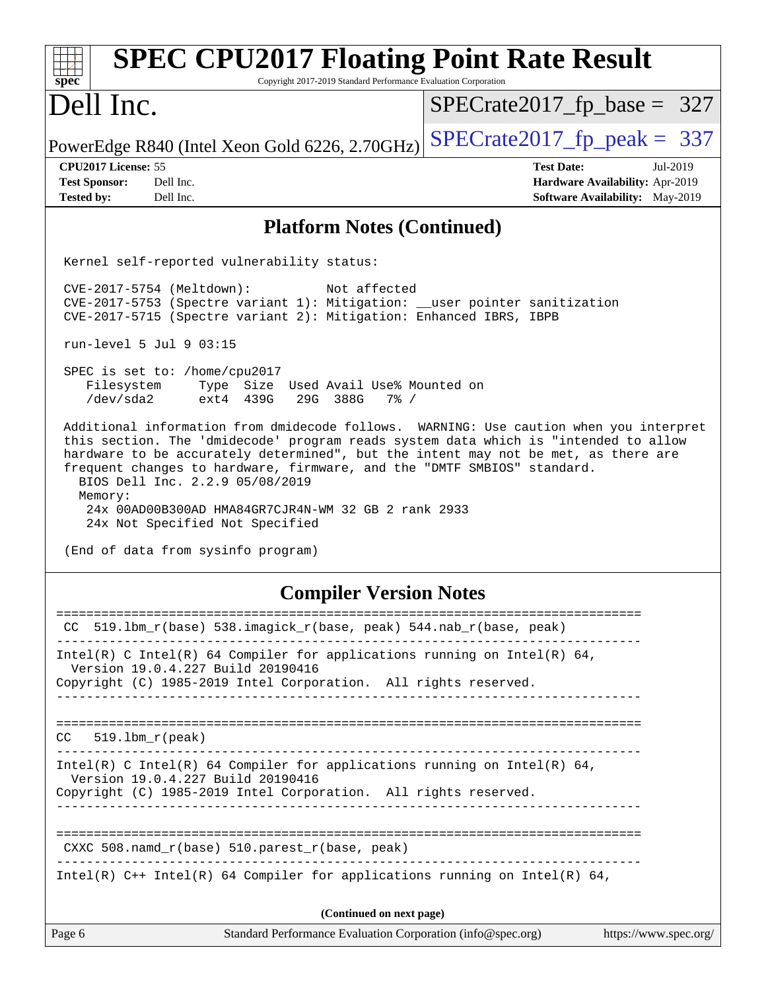| <b>SPEC CPU2017 Floating Point Rate Result</b><br>Copyright 2017-2019 Standard Performance Evaluation Corporation<br>spec <sup>®</sup>                                                                                                                                                                                                                                                                                                                                                 |                                        |  |  |  |  |  |
|----------------------------------------------------------------------------------------------------------------------------------------------------------------------------------------------------------------------------------------------------------------------------------------------------------------------------------------------------------------------------------------------------------------------------------------------------------------------------------------|----------------------------------------|--|--|--|--|--|
| Dell Inc.                                                                                                                                                                                                                                                                                                                                                                                                                                                                              | $SPECrate2017_fp\_base = 327$          |  |  |  |  |  |
| PowerEdge R840 (Intel Xeon Gold 6226, 2.70GHz)                                                                                                                                                                                                                                                                                                                                                                                                                                         | $SPECTate2017$ _fp_peak = 337          |  |  |  |  |  |
| CPU2017 License: 55                                                                                                                                                                                                                                                                                                                                                                                                                                                                    | <b>Test Date:</b><br>Jul-2019          |  |  |  |  |  |
| <b>Test Sponsor:</b><br>Dell Inc.                                                                                                                                                                                                                                                                                                                                                                                                                                                      | Hardware Availability: Apr-2019        |  |  |  |  |  |
| Dell Inc.<br><b>Tested by:</b>                                                                                                                                                                                                                                                                                                                                                                                                                                                         | <b>Software Availability:</b> May-2019 |  |  |  |  |  |
| <b>Platform Notes (Continued)</b>                                                                                                                                                                                                                                                                                                                                                                                                                                                      |                                        |  |  |  |  |  |
| Kernel self-reported vulnerability status:                                                                                                                                                                                                                                                                                                                                                                                                                                             |                                        |  |  |  |  |  |
| CVE-2017-5754 (Meltdown):<br>Not affected<br>CVE-2017-5753 (Spectre variant 1): Mitigation: __user pointer sanitization<br>CVE-2017-5715 (Spectre variant 2): Mitigation: Enhanced IBRS, IBPB                                                                                                                                                                                                                                                                                          |                                        |  |  |  |  |  |
| run-level 5 Jul 9 03:15                                                                                                                                                                                                                                                                                                                                                                                                                                                                |                                        |  |  |  |  |  |
| SPEC is set to: /home/cpu2017<br>Filesystem<br>Type Size Used Avail Use% Mounted on<br>/dev/sda2<br>ext4 439G<br>29G 388G<br>$7\frac{6}{6}$ /                                                                                                                                                                                                                                                                                                                                          |                                        |  |  |  |  |  |
| Additional information from dmidecode follows. WARNING: Use caution when you interpret<br>this section. The 'dmidecode' program reads system data which is "intended to allow<br>hardware to be accurately determined", but the intent may not be met, as there are<br>frequent changes to hardware, firmware, and the "DMTF SMBIOS" standard.<br>BIOS Dell Inc. 2.2.9 05/08/2019<br>Memory:<br>24x 00AD00B300AD HMA84GR7CJR4N-WM 32 GB 2 rank 2933<br>24x Not Specified Not Specified |                                        |  |  |  |  |  |
| (End of data from sysinfo program)                                                                                                                                                                                                                                                                                                                                                                                                                                                     |                                        |  |  |  |  |  |
| <b>Compiler Version Notes</b>                                                                                                                                                                                                                                                                                                                                                                                                                                                          |                                        |  |  |  |  |  |
| 519.1bm_r(base) 538.imagick_r(base, peak) 544.nab_r(base, peak)<br>CC.                                                                                                                                                                                                                                                                                                                                                                                                                 |                                        |  |  |  |  |  |
| Intel(R) C Intel(R) 64 Compiler for applications running on Intel(R) 64,<br>Version 19.0.4.227 Build 20190416                                                                                                                                                                                                                                                                                                                                                                          |                                        |  |  |  |  |  |
| Copyright (C) 1985-2019 Intel Corporation. All rights reserved.<br>-----------------------                                                                                                                                                                                                                                                                                                                                                                                             |                                        |  |  |  |  |  |
| $519.1$ bm_r(peak)<br>CC                                                                                                                                                                                                                                                                                                                                                                                                                                                               |                                        |  |  |  |  |  |
| Intel(R) C Intel(R) 64 Compiler for applications running on Intel(R) 64,<br>Version 19.0.4.227 Build 20190416<br>Copyright (C) 1985-2019 Intel Corporation. All rights reserved.                                                                                                                                                                                                                                                                                                       |                                        |  |  |  |  |  |
| --------------------------------                                                                                                                                                                                                                                                                                                                                                                                                                                                       |                                        |  |  |  |  |  |
| CXXC 508.namd_r(base) 510.parest_r(base, peak)                                                                                                                                                                                                                                                                                                                                                                                                                                         |                                        |  |  |  |  |  |
| Intel(R) $C++$ Intel(R) 64 Compiler for applications running on Intel(R) 64,                                                                                                                                                                                                                                                                                                                                                                                                           |                                        |  |  |  |  |  |
| (Continued on next page)                                                                                                                                                                                                                                                                                                                                                                                                                                                               |                                        |  |  |  |  |  |
| Page 6<br>Standard Performance Evaluation Corporation (info@spec.org)                                                                                                                                                                                                                                                                                                                                                                                                                  | https://www.spec.org/                  |  |  |  |  |  |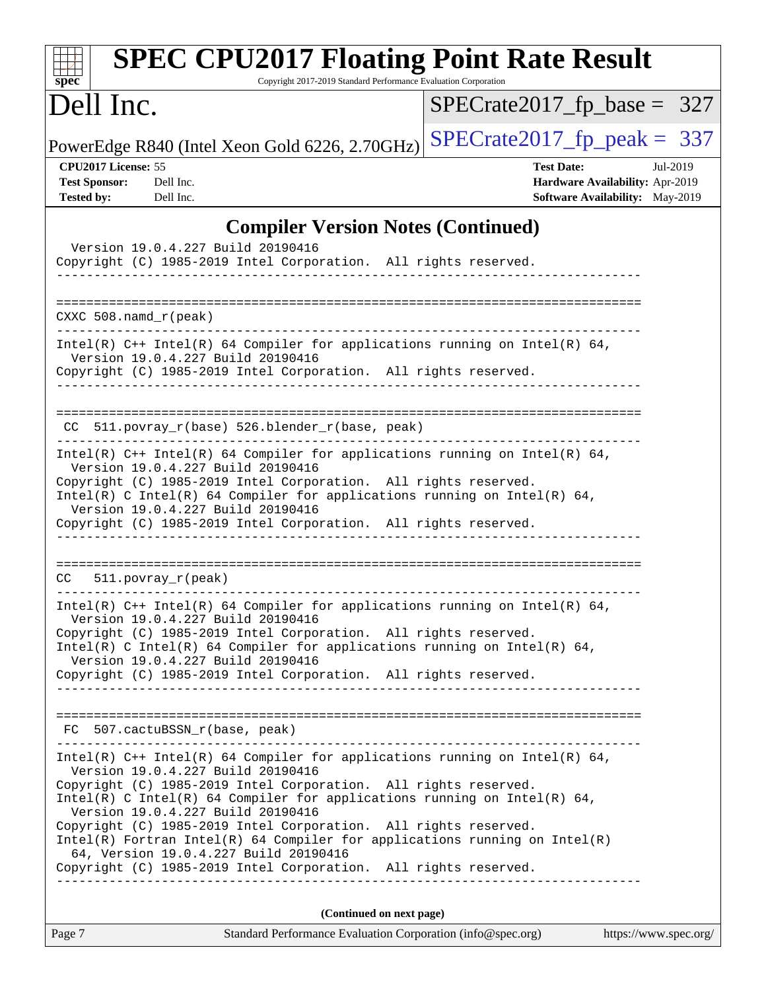| $spec^*$                                                                                                                                                                                                                                                                                                                                                                 | <b>SPEC CPU2017 Floating Point Rate Result</b><br>Copyright 2017-2019 Standard Performance Evaluation Corporation                                                                                                                                                                                                                                                                                                                                                                                                                                                |                                                                                                     |  |  |  |
|--------------------------------------------------------------------------------------------------------------------------------------------------------------------------------------------------------------------------------------------------------------------------------------------------------------------------------------------------------------------------|------------------------------------------------------------------------------------------------------------------------------------------------------------------------------------------------------------------------------------------------------------------------------------------------------------------------------------------------------------------------------------------------------------------------------------------------------------------------------------------------------------------------------------------------------------------|-----------------------------------------------------------------------------------------------------|--|--|--|
| Dell Inc.                                                                                                                                                                                                                                                                                                                                                                |                                                                                                                                                                                                                                                                                                                                                                                                                                                                                                                                                                  | $SPECrate2017_fp\_base = 327$                                                                       |  |  |  |
|                                                                                                                                                                                                                                                                                                                                                                          | PowerEdge R840 (Intel Xeon Gold 6226, 2.70GHz)                                                                                                                                                                                                                                                                                                                                                                                                                                                                                                                   | $SPECrate2017_fp\_peak = 337$                                                                       |  |  |  |
| CPU2017 License: 55<br><b>Test Sponsor:</b><br><b>Tested by:</b>                                                                                                                                                                                                                                                                                                         | Dell Inc.<br>Dell Inc.                                                                                                                                                                                                                                                                                                                                                                                                                                                                                                                                           | <b>Test Date:</b><br>Jul-2019<br>Hardware Availability: Apr-2019<br>Software Availability: May-2019 |  |  |  |
|                                                                                                                                                                                                                                                                                                                                                                          | <b>Compiler Version Notes (Continued)</b>                                                                                                                                                                                                                                                                                                                                                                                                                                                                                                                        |                                                                                                     |  |  |  |
|                                                                                                                                                                                                                                                                                                                                                                          | Version 19.0.4.227 Build 20190416<br>Copyright (C) 1985-2019 Intel Corporation. All rights reserved.<br>__________                                                                                                                                                                                                                                                                                                                                                                                                                                               |                                                                                                     |  |  |  |
| CXXC $508$ . namd $r$ (peak)                                                                                                                                                                                                                                                                                                                                             | -------------------                                                                                                                                                                                                                                                                                                                                                                                                                                                                                                                                              |                                                                                                     |  |  |  |
|                                                                                                                                                                                                                                                                                                                                                                          | Intel(R) $C++$ Intel(R) 64 Compiler for applications running on Intel(R) 64,<br>Version 19.0.4.227 Build 20190416<br>Copyright (C) 1985-2019 Intel Corporation. All rights reserved.                                                                                                                                                                                                                                                                                                                                                                             |                                                                                                     |  |  |  |
|                                                                                                                                                                                                                                                                                                                                                                          | CC 511.povray_r(base) 526.blender_r(base, peak)                                                                                                                                                                                                                                                                                                                                                                                                                                                                                                                  |                                                                                                     |  |  |  |
| Intel(R) $C++$ Intel(R) 64 Compiler for applications running on Intel(R) 64,<br>Version 19.0.4.227 Build 20190416<br>Copyright (C) 1985-2019 Intel Corporation. All rights reserved.<br>Intel(R) C Intel(R) 64 Compiler for applications running on Intel(R) 64,<br>Version 19.0.4.227 Build 20190416<br>Copyright (C) 1985-2019 Intel Corporation. All rights reserved. |                                                                                                                                                                                                                                                                                                                                                                                                                                                                                                                                                                  |                                                                                                     |  |  |  |
| CC.                                                                                                                                                                                                                                                                                                                                                                      | 511.povray_r(peak)                                                                                                                                                                                                                                                                                                                                                                                                                                                                                                                                               |                                                                                                     |  |  |  |
|                                                                                                                                                                                                                                                                                                                                                                          | Intel(R) C++ Intel(R) 64 Compiler for applications running on Intel(R) 64,<br>Version 19.0.4.227 Build 20190416<br>Copyright (C) 1985-2019 Intel Corporation. All rights reserved.<br>Intel(R) C Intel(R) 64 Compiler for applications running on Intel(R) 64,<br>Version 19.0.4.227 Build 20190416<br>Copyright (C) 1985-2019 Intel Corporation. All rights reserved.                                                                                                                                                                                           |                                                                                                     |  |  |  |
|                                                                                                                                                                                                                                                                                                                                                                          | FC 507.cactuBSSN_r(base, peak)                                                                                                                                                                                                                                                                                                                                                                                                                                                                                                                                   |                                                                                                     |  |  |  |
|                                                                                                                                                                                                                                                                                                                                                                          | Intel(R) C++ Intel(R) 64 Compiler for applications running on Intel(R) 64,<br>Version 19.0.4.227 Build 20190416<br>Copyright (C) 1985-2019 Intel Corporation. All rights reserved.<br>Intel(R) C Intel(R) 64 Compiler for applications running on Intel(R) 64,<br>Version 19.0.4.227 Build 20190416<br>Copyright (C) 1985-2019 Intel Corporation. All rights reserved.<br>Intel(R) Fortran Intel(R) 64 Compiler for applications running on Intel(R)<br>64, Version 19.0.4.227 Build 20190416<br>Copyright (C) 1985-2019 Intel Corporation. All rights reserved. |                                                                                                     |  |  |  |
|                                                                                                                                                                                                                                                                                                                                                                          | (Continued on next page)                                                                                                                                                                                                                                                                                                                                                                                                                                                                                                                                         |                                                                                                     |  |  |  |
| Page 7                                                                                                                                                                                                                                                                                                                                                                   | Standard Performance Evaluation Corporation (info@spec.org)                                                                                                                                                                                                                                                                                                                                                                                                                                                                                                      | https://www.spec.org/                                                                               |  |  |  |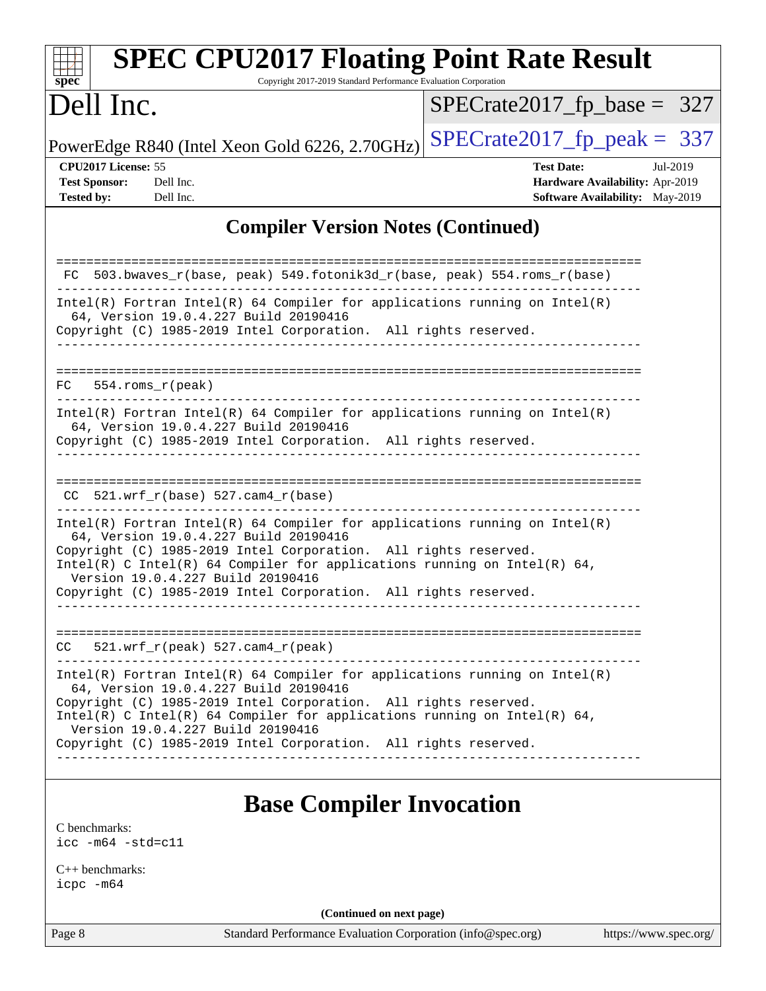| Copyright 2017-2019 Standard Performance Evaluation Corporation<br>$spec^*$<br>Dell Inc.                                                                                                 | $SPECrate2017_fp\_base = 327$                                                                              |
|------------------------------------------------------------------------------------------------------------------------------------------------------------------------------------------|------------------------------------------------------------------------------------------------------------|
|                                                                                                                                                                                          |                                                                                                            |
| PowerEdge R840 (Intel Xeon Gold 6226, 2.70GHz)                                                                                                                                           | $SPECrate2017_fp\_peak = 337$                                                                              |
| CPU2017 License: 55<br><b>Test Sponsor:</b><br>Dell Inc.<br><b>Tested by:</b><br>Dell Inc.                                                                                               | <b>Test Date:</b><br>Jul-2019<br>Hardware Availability: Apr-2019<br><b>Software Availability:</b> May-2019 |
| <b>Compiler Version Notes (Continued)</b>                                                                                                                                                |                                                                                                            |
| FC 503.bwaves_r(base, peak) 549.fotonik3d_r(base, peak) 554.roms_r(base)                                                                                                                 |                                                                                                            |
| $Intel(R)$ Fortran Intel(R) 64 Compiler for applications running on Intel(R)<br>64, Version 19.0.4.227 Build 20190416<br>Copyright (C) 1985-2019 Intel Corporation. All rights reserved. |                                                                                                            |
| -------------                                                                                                                                                                            |                                                                                                            |
| $FC$ 554. roms $r$ (peak)                                                                                                                                                                |                                                                                                            |
| $Intel(R)$ Fortran Intel(R) 64 Compiler for applications running on Intel(R)<br>64, Version 19.0.4.227 Build 20190416<br>Copyright (C) 1985-2019 Intel Corporation. All rights reserved. |                                                                                                            |
|                                                                                                                                                                                          |                                                                                                            |
| $CC$ 521.wrf_r(base) 527.cam4_r(base)                                                                                                                                                    |                                                                                                            |
| $Intel(R)$ Fortran Intel(R) 64 Compiler for applications running on Intel(R)<br>64, Version 19.0.4.227 Build 20190416                                                                    |                                                                                                            |
| Copyright (C) 1985-2019 Intel Corporation. All rights reserved.<br>Intel(R) C Intel(R) 64 Compiler for applications running on Intel(R) 64,<br>Version 19.0.4.227 Build 20190416         |                                                                                                            |
| Copyright (C) 1985-2019 Intel Corporation. All rights reserved.                                                                                                                          |                                                                                                            |
| $521.wrf_r(peak) 527.cam4_r(peak)$<br>CC.                                                                                                                                                |                                                                                                            |
| $Intel(R)$ Fortran Intel(R) 64 Compiler for applications running on Intel(R)<br>64, Version 19.0.4.227 Build 20190416<br>Copyright (C) 1985-2019 Intel Corporation. All rights reserved. |                                                                                                            |
| Intel(R) C Intel(R) 64 Compiler for applications running on Intel(R) 64,<br>Version 19.0.4.227 Build 20190416<br>Copyright (C) 1985-2019 Intel Corporation. All rights reserved.         |                                                                                                            |
| ---------------------                                                                                                                                                                    |                                                                                                            |

[C benchmarks](http://www.spec.org/auto/cpu2017/Docs/result-fields.html#Cbenchmarks): [icc -m64 -std=c11](http://www.spec.org/cpu2017/results/res2019q3/cpu2017-20190722-16266.flags.html#user_CCbase_intel_icc_64bit_c11_33ee0cdaae7deeeab2a9725423ba97205ce30f63b9926c2519791662299b76a0318f32ddfffdc46587804de3178b4f9328c46fa7c2b0cd779d7a61945c91cd35)

[C++ benchmarks:](http://www.spec.org/auto/cpu2017/Docs/result-fields.html#CXXbenchmarks) [icpc -m64](http://www.spec.org/cpu2017/results/res2019q3/cpu2017-20190722-16266.flags.html#user_CXXbase_intel_icpc_64bit_4ecb2543ae3f1412ef961e0650ca070fec7b7afdcd6ed48761b84423119d1bf6bdf5cad15b44d48e7256388bc77273b966e5eb805aefd121eb22e9299b2ec9d9)

**(Continued on next page)**

Page 8 Standard Performance Evaluation Corporation [\(info@spec.org\)](mailto:info@spec.org) <https://www.spec.org/>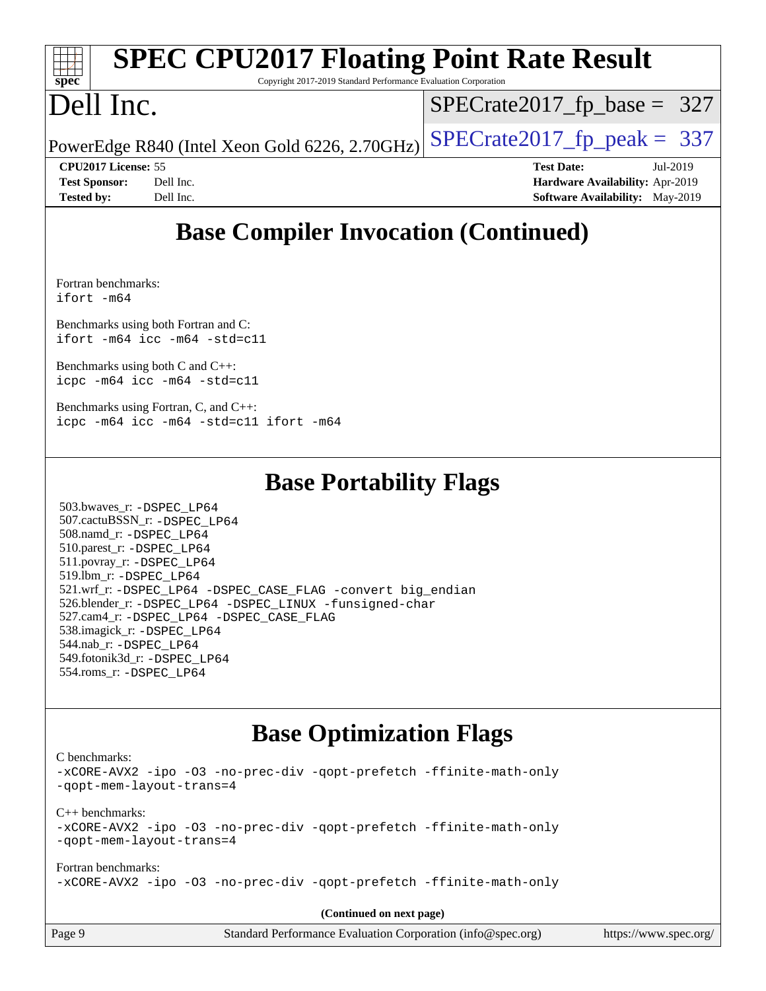#### **[spec](http://www.spec.org/) [SPEC CPU2017 Floating Point Rate Result](http://www.spec.org/auto/cpu2017/Docs/result-fields.html#SPECCPU2017FloatingPointRateResult)** Copyright 2017-2019 Standard Performance Evaluation Corporation Dell Inc. PowerEdge R840 (Intel Xeon Gold 6226, 2.70GHz)  $\text{SPECrate}2017\_fp\_peak = 337$ [SPECrate2017\\_fp\\_base =](http://www.spec.org/auto/cpu2017/Docs/result-fields.html#SPECrate2017fpbase) 327 **[CPU2017 License:](http://www.spec.org/auto/cpu2017/Docs/result-fields.html#CPU2017License)** 55 **[Test Date:](http://www.spec.org/auto/cpu2017/Docs/result-fields.html#TestDate)** Jul-2019 **[Test Sponsor:](http://www.spec.org/auto/cpu2017/Docs/result-fields.html#TestSponsor)** Dell Inc. **[Hardware Availability:](http://www.spec.org/auto/cpu2017/Docs/result-fields.html#HardwareAvailability)** Apr-2019 **[Tested by:](http://www.spec.org/auto/cpu2017/Docs/result-fields.html#Testedby)** Dell Inc. Dell Inc. **[Software Availability:](http://www.spec.org/auto/cpu2017/Docs/result-fields.html#SoftwareAvailability)** May-2019

# **[Base Compiler Invocation \(Continued\)](http://www.spec.org/auto/cpu2017/Docs/result-fields.html#BaseCompilerInvocation)**

[Fortran benchmarks](http://www.spec.org/auto/cpu2017/Docs/result-fields.html#Fortranbenchmarks): [ifort -m64](http://www.spec.org/cpu2017/results/res2019q3/cpu2017-20190722-16266.flags.html#user_FCbase_intel_ifort_64bit_24f2bb282fbaeffd6157abe4f878425411749daecae9a33200eee2bee2fe76f3b89351d69a8130dd5949958ce389cf37ff59a95e7a40d588e8d3a57e0c3fd751)

[Benchmarks using both Fortran and C](http://www.spec.org/auto/cpu2017/Docs/result-fields.html#BenchmarksusingbothFortranandC): [ifort -m64](http://www.spec.org/cpu2017/results/res2019q3/cpu2017-20190722-16266.flags.html#user_CC_FCbase_intel_ifort_64bit_24f2bb282fbaeffd6157abe4f878425411749daecae9a33200eee2bee2fe76f3b89351d69a8130dd5949958ce389cf37ff59a95e7a40d588e8d3a57e0c3fd751) [icc -m64 -std=c11](http://www.spec.org/cpu2017/results/res2019q3/cpu2017-20190722-16266.flags.html#user_CC_FCbase_intel_icc_64bit_c11_33ee0cdaae7deeeab2a9725423ba97205ce30f63b9926c2519791662299b76a0318f32ddfffdc46587804de3178b4f9328c46fa7c2b0cd779d7a61945c91cd35)

[Benchmarks using both C and C++](http://www.spec.org/auto/cpu2017/Docs/result-fields.html#BenchmarksusingbothCandCXX): [icpc -m64](http://www.spec.org/cpu2017/results/res2019q3/cpu2017-20190722-16266.flags.html#user_CC_CXXbase_intel_icpc_64bit_4ecb2543ae3f1412ef961e0650ca070fec7b7afdcd6ed48761b84423119d1bf6bdf5cad15b44d48e7256388bc77273b966e5eb805aefd121eb22e9299b2ec9d9) [icc -m64 -std=c11](http://www.spec.org/cpu2017/results/res2019q3/cpu2017-20190722-16266.flags.html#user_CC_CXXbase_intel_icc_64bit_c11_33ee0cdaae7deeeab2a9725423ba97205ce30f63b9926c2519791662299b76a0318f32ddfffdc46587804de3178b4f9328c46fa7c2b0cd779d7a61945c91cd35)

[Benchmarks using Fortran, C, and C++:](http://www.spec.org/auto/cpu2017/Docs/result-fields.html#BenchmarksusingFortranCandCXX) [icpc -m64](http://www.spec.org/cpu2017/results/res2019q3/cpu2017-20190722-16266.flags.html#user_CC_CXX_FCbase_intel_icpc_64bit_4ecb2543ae3f1412ef961e0650ca070fec7b7afdcd6ed48761b84423119d1bf6bdf5cad15b44d48e7256388bc77273b966e5eb805aefd121eb22e9299b2ec9d9) [icc -m64 -std=c11](http://www.spec.org/cpu2017/results/res2019q3/cpu2017-20190722-16266.flags.html#user_CC_CXX_FCbase_intel_icc_64bit_c11_33ee0cdaae7deeeab2a9725423ba97205ce30f63b9926c2519791662299b76a0318f32ddfffdc46587804de3178b4f9328c46fa7c2b0cd779d7a61945c91cd35) [ifort -m64](http://www.spec.org/cpu2017/results/res2019q3/cpu2017-20190722-16266.flags.html#user_CC_CXX_FCbase_intel_ifort_64bit_24f2bb282fbaeffd6157abe4f878425411749daecae9a33200eee2bee2fe76f3b89351d69a8130dd5949958ce389cf37ff59a95e7a40d588e8d3a57e0c3fd751)

## **[Base Portability Flags](http://www.spec.org/auto/cpu2017/Docs/result-fields.html#BasePortabilityFlags)**

 503.bwaves\_r: [-DSPEC\\_LP64](http://www.spec.org/cpu2017/results/res2019q3/cpu2017-20190722-16266.flags.html#suite_basePORTABILITY503_bwaves_r_DSPEC_LP64) 507.cactuBSSN\_r: [-DSPEC\\_LP64](http://www.spec.org/cpu2017/results/res2019q3/cpu2017-20190722-16266.flags.html#suite_basePORTABILITY507_cactuBSSN_r_DSPEC_LP64) 508.namd\_r: [-DSPEC\\_LP64](http://www.spec.org/cpu2017/results/res2019q3/cpu2017-20190722-16266.flags.html#suite_basePORTABILITY508_namd_r_DSPEC_LP64) 510.parest\_r: [-DSPEC\\_LP64](http://www.spec.org/cpu2017/results/res2019q3/cpu2017-20190722-16266.flags.html#suite_basePORTABILITY510_parest_r_DSPEC_LP64) 511.povray\_r: [-DSPEC\\_LP64](http://www.spec.org/cpu2017/results/res2019q3/cpu2017-20190722-16266.flags.html#suite_basePORTABILITY511_povray_r_DSPEC_LP64) 519.lbm\_r: [-DSPEC\\_LP64](http://www.spec.org/cpu2017/results/res2019q3/cpu2017-20190722-16266.flags.html#suite_basePORTABILITY519_lbm_r_DSPEC_LP64) 521.wrf\_r: [-DSPEC\\_LP64](http://www.spec.org/cpu2017/results/res2019q3/cpu2017-20190722-16266.flags.html#suite_basePORTABILITY521_wrf_r_DSPEC_LP64) [-DSPEC\\_CASE\\_FLAG](http://www.spec.org/cpu2017/results/res2019q3/cpu2017-20190722-16266.flags.html#b521.wrf_r_baseCPORTABILITY_DSPEC_CASE_FLAG) [-convert big\\_endian](http://www.spec.org/cpu2017/results/res2019q3/cpu2017-20190722-16266.flags.html#user_baseFPORTABILITY521_wrf_r_convert_big_endian_c3194028bc08c63ac5d04de18c48ce6d347e4e562e8892b8bdbdc0214820426deb8554edfa529a3fb25a586e65a3d812c835984020483e7e73212c4d31a38223) 526.blender\_r: [-DSPEC\\_LP64](http://www.spec.org/cpu2017/results/res2019q3/cpu2017-20190722-16266.flags.html#suite_basePORTABILITY526_blender_r_DSPEC_LP64) [-DSPEC\\_LINUX](http://www.spec.org/cpu2017/results/res2019q3/cpu2017-20190722-16266.flags.html#b526.blender_r_baseCPORTABILITY_DSPEC_LINUX) [-funsigned-char](http://www.spec.org/cpu2017/results/res2019q3/cpu2017-20190722-16266.flags.html#user_baseCPORTABILITY526_blender_r_force_uchar_40c60f00ab013830e2dd6774aeded3ff59883ba5a1fc5fc14077f794d777847726e2a5858cbc7672e36e1b067e7e5c1d9a74f7176df07886a243d7cc18edfe67) 527.cam4\_r: [-DSPEC\\_LP64](http://www.spec.org/cpu2017/results/res2019q3/cpu2017-20190722-16266.flags.html#suite_basePORTABILITY527_cam4_r_DSPEC_LP64) [-DSPEC\\_CASE\\_FLAG](http://www.spec.org/cpu2017/results/res2019q3/cpu2017-20190722-16266.flags.html#b527.cam4_r_baseCPORTABILITY_DSPEC_CASE_FLAG) 538.imagick\_r: [-DSPEC\\_LP64](http://www.spec.org/cpu2017/results/res2019q3/cpu2017-20190722-16266.flags.html#suite_basePORTABILITY538_imagick_r_DSPEC_LP64) 544.nab\_r: [-DSPEC\\_LP64](http://www.spec.org/cpu2017/results/res2019q3/cpu2017-20190722-16266.flags.html#suite_basePORTABILITY544_nab_r_DSPEC_LP64) 549.fotonik3d\_r: [-DSPEC\\_LP64](http://www.spec.org/cpu2017/results/res2019q3/cpu2017-20190722-16266.flags.html#suite_basePORTABILITY549_fotonik3d_r_DSPEC_LP64) 554.roms\_r: [-DSPEC\\_LP64](http://www.spec.org/cpu2017/results/res2019q3/cpu2017-20190722-16266.flags.html#suite_basePORTABILITY554_roms_r_DSPEC_LP64)

## **[Base Optimization Flags](http://www.spec.org/auto/cpu2017/Docs/result-fields.html#BaseOptimizationFlags)**

[C benchmarks](http://www.spec.org/auto/cpu2017/Docs/result-fields.html#Cbenchmarks):

[-xCORE-AVX2](http://www.spec.org/cpu2017/results/res2019q3/cpu2017-20190722-16266.flags.html#user_CCbase_f-xCORE-AVX2) [-ipo](http://www.spec.org/cpu2017/results/res2019q3/cpu2017-20190722-16266.flags.html#user_CCbase_f-ipo) [-O3](http://www.spec.org/cpu2017/results/res2019q3/cpu2017-20190722-16266.flags.html#user_CCbase_f-O3) [-no-prec-div](http://www.spec.org/cpu2017/results/res2019q3/cpu2017-20190722-16266.flags.html#user_CCbase_f-no-prec-div) [-qopt-prefetch](http://www.spec.org/cpu2017/results/res2019q3/cpu2017-20190722-16266.flags.html#user_CCbase_f-qopt-prefetch) [-ffinite-math-only](http://www.spec.org/cpu2017/results/res2019q3/cpu2017-20190722-16266.flags.html#user_CCbase_f_finite_math_only_cb91587bd2077682c4b38af759c288ed7c732db004271a9512da14a4f8007909a5f1427ecbf1a0fb78ff2a814402c6114ac565ca162485bbcae155b5e4258871) [-qopt-mem-layout-trans=4](http://www.spec.org/cpu2017/results/res2019q3/cpu2017-20190722-16266.flags.html#user_CCbase_f-qopt-mem-layout-trans_fa39e755916c150a61361b7846f310bcdf6f04e385ef281cadf3647acec3f0ae266d1a1d22d972a7087a248fd4e6ca390a3634700869573d231a252c784941a8) [C++ benchmarks:](http://www.spec.org/auto/cpu2017/Docs/result-fields.html#CXXbenchmarks) [-xCORE-AVX2](http://www.spec.org/cpu2017/results/res2019q3/cpu2017-20190722-16266.flags.html#user_CXXbase_f-xCORE-AVX2) [-ipo](http://www.spec.org/cpu2017/results/res2019q3/cpu2017-20190722-16266.flags.html#user_CXXbase_f-ipo) [-O3](http://www.spec.org/cpu2017/results/res2019q3/cpu2017-20190722-16266.flags.html#user_CXXbase_f-O3) [-no-prec-div](http://www.spec.org/cpu2017/results/res2019q3/cpu2017-20190722-16266.flags.html#user_CXXbase_f-no-prec-div) [-qopt-prefetch](http://www.spec.org/cpu2017/results/res2019q3/cpu2017-20190722-16266.flags.html#user_CXXbase_f-qopt-prefetch) [-ffinite-math-only](http://www.spec.org/cpu2017/results/res2019q3/cpu2017-20190722-16266.flags.html#user_CXXbase_f_finite_math_only_cb91587bd2077682c4b38af759c288ed7c732db004271a9512da14a4f8007909a5f1427ecbf1a0fb78ff2a814402c6114ac565ca162485bbcae155b5e4258871) [-qopt-mem-layout-trans=4](http://www.spec.org/cpu2017/results/res2019q3/cpu2017-20190722-16266.flags.html#user_CXXbase_f-qopt-mem-layout-trans_fa39e755916c150a61361b7846f310bcdf6f04e385ef281cadf3647acec3f0ae266d1a1d22d972a7087a248fd4e6ca390a3634700869573d231a252c784941a8) [Fortran benchmarks](http://www.spec.org/auto/cpu2017/Docs/result-fields.html#Fortranbenchmarks): [-xCORE-AVX2](http://www.spec.org/cpu2017/results/res2019q3/cpu2017-20190722-16266.flags.html#user_FCbase_f-xCORE-AVX2) [-ipo](http://www.spec.org/cpu2017/results/res2019q3/cpu2017-20190722-16266.flags.html#user_FCbase_f-ipo) [-O3](http://www.spec.org/cpu2017/results/res2019q3/cpu2017-20190722-16266.flags.html#user_FCbase_f-O3) [-no-prec-div](http://www.spec.org/cpu2017/results/res2019q3/cpu2017-20190722-16266.flags.html#user_FCbase_f-no-prec-div) [-qopt-prefetch](http://www.spec.org/cpu2017/results/res2019q3/cpu2017-20190722-16266.flags.html#user_FCbase_f-qopt-prefetch) [-ffinite-math-only](http://www.spec.org/cpu2017/results/res2019q3/cpu2017-20190722-16266.flags.html#user_FCbase_f_finite_math_only_cb91587bd2077682c4b38af759c288ed7c732db004271a9512da14a4f8007909a5f1427ecbf1a0fb78ff2a814402c6114ac565ca162485bbcae155b5e4258871)

**(Continued on next page)**

| Page 9 | Standard Performance Evaluation Corporation (info@spec.org) | https://www.spec.org/ |
|--------|-------------------------------------------------------------|-----------------------|
|--------|-------------------------------------------------------------|-----------------------|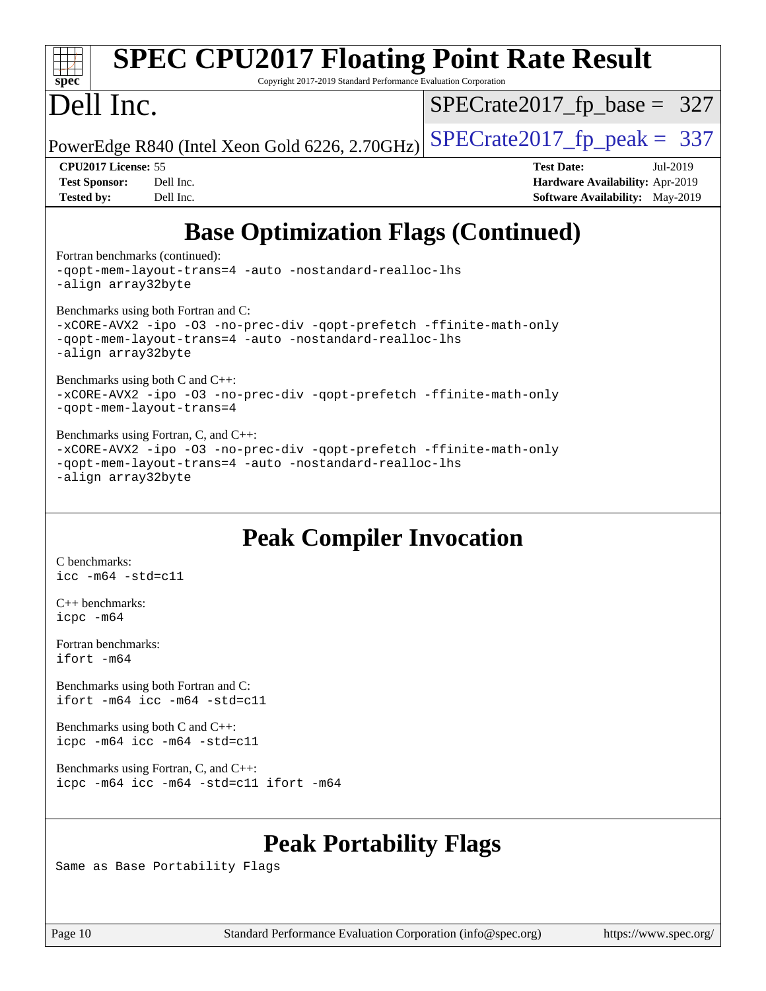| spec <sup>®</sup>                                                                                                                                                                           | <b>SPEC CPU2017 Floating Point Rate Result</b><br>Copyright 2017-2019 Standard Performance Evaluation Corporation |                                        |  |  |  |  |  |  |
|---------------------------------------------------------------------------------------------------------------------------------------------------------------------------------------------|-------------------------------------------------------------------------------------------------------------------|----------------------------------------|--|--|--|--|--|--|
| Dell Inc.                                                                                                                                                                                   |                                                                                                                   | $SPECrate2017_fp\_base = 327$          |  |  |  |  |  |  |
|                                                                                                                                                                                             | PowerEdge R840 (Intel Xeon Gold 6226, 2.70GHz)                                                                    | $SPECrate2017fp peak = 337$            |  |  |  |  |  |  |
| <b>CPU2017 License: 55</b>                                                                                                                                                                  |                                                                                                                   | <b>Test Date:</b><br>Jul-2019          |  |  |  |  |  |  |
| <b>Test Sponsor:</b>                                                                                                                                                                        | Dell Inc.                                                                                                         | <b>Hardware Availability: Apr-2019</b> |  |  |  |  |  |  |
| <b>Tested by:</b>                                                                                                                                                                           | Dell Inc.                                                                                                         | <b>Software Availability:</b> May-2019 |  |  |  |  |  |  |
|                                                                                                                                                                                             | <b>Base Optimization Flags (Continued)</b>                                                                        |                                        |  |  |  |  |  |  |
| Fortran benchmarks (continued):                                                                                                                                                             |                                                                                                                   |                                        |  |  |  |  |  |  |
| -gopt-mem-layout-trans=4 -auto -nostandard-realloc-lhs<br>-align array32byte                                                                                                                |                                                                                                                   |                                        |  |  |  |  |  |  |
| Benchmarks using both Fortran and C:<br>-xCORE-AVX2 -ipo -03 -no-prec-div -qopt-prefetch -ffinite-math-only<br>-gopt-mem-layout-trans=4 -auto -nostandard-realloc-lhs<br>-align array32byte |                                                                                                                   |                                        |  |  |  |  |  |  |
|                                                                                                                                                                                             |                                                                                                                   |                                        |  |  |  |  |  |  |

[Benchmarks using both C and C++](http://www.spec.org/auto/cpu2017/Docs/result-fields.html#BenchmarksusingbothCandCXX): [-xCORE-AVX2](http://www.spec.org/cpu2017/results/res2019q3/cpu2017-20190722-16266.flags.html#user_CC_CXXbase_f-xCORE-AVX2) [-ipo](http://www.spec.org/cpu2017/results/res2019q3/cpu2017-20190722-16266.flags.html#user_CC_CXXbase_f-ipo) [-O3](http://www.spec.org/cpu2017/results/res2019q3/cpu2017-20190722-16266.flags.html#user_CC_CXXbase_f-O3) [-no-prec-div](http://www.spec.org/cpu2017/results/res2019q3/cpu2017-20190722-16266.flags.html#user_CC_CXXbase_f-no-prec-div) [-qopt-prefetch](http://www.spec.org/cpu2017/results/res2019q3/cpu2017-20190722-16266.flags.html#user_CC_CXXbase_f-qopt-prefetch) [-ffinite-math-only](http://www.spec.org/cpu2017/results/res2019q3/cpu2017-20190722-16266.flags.html#user_CC_CXXbase_f_finite_math_only_cb91587bd2077682c4b38af759c288ed7c732db004271a9512da14a4f8007909a5f1427ecbf1a0fb78ff2a814402c6114ac565ca162485bbcae155b5e4258871) [-qopt-mem-layout-trans=4](http://www.spec.org/cpu2017/results/res2019q3/cpu2017-20190722-16266.flags.html#user_CC_CXXbase_f-qopt-mem-layout-trans_fa39e755916c150a61361b7846f310bcdf6f04e385ef281cadf3647acec3f0ae266d1a1d22d972a7087a248fd4e6ca390a3634700869573d231a252c784941a8)

#### [Benchmarks using Fortran, C, and C++:](http://www.spec.org/auto/cpu2017/Docs/result-fields.html#BenchmarksusingFortranCandCXX)

[-xCORE-AVX2](http://www.spec.org/cpu2017/results/res2019q3/cpu2017-20190722-16266.flags.html#user_CC_CXX_FCbase_f-xCORE-AVX2) [-ipo](http://www.spec.org/cpu2017/results/res2019q3/cpu2017-20190722-16266.flags.html#user_CC_CXX_FCbase_f-ipo) [-O3](http://www.spec.org/cpu2017/results/res2019q3/cpu2017-20190722-16266.flags.html#user_CC_CXX_FCbase_f-O3) [-no-prec-div](http://www.spec.org/cpu2017/results/res2019q3/cpu2017-20190722-16266.flags.html#user_CC_CXX_FCbase_f-no-prec-div) [-qopt-prefetch](http://www.spec.org/cpu2017/results/res2019q3/cpu2017-20190722-16266.flags.html#user_CC_CXX_FCbase_f-qopt-prefetch) [-ffinite-math-only](http://www.spec.org/cpu2017/results/res2019q3/cpu2017-20190722-16266.flags.html#user_CC_CXX_FCbase_f_finite_math_only_cb91587bd2077682c4b38af759c288ed7c732db004271a9512da14a4f8007909a5f1427ecbf1a0fb78ff2a814402c6114ac565ca162485bbcae155b5e4258871) [-qopt-mem-layout-trans=4](http://www.spec.org/cpu2017/results/res2019q3/cpu2017-20190722-16266.flags.html#user_CC_CXX_FCbase_f-qopt-mem-layout-trans_fa39e755916c150a61361b7846f310bcdf6f04e385ef281cadf3647acec3f0ae266d1a1d22d972a7087a248fd4e6ca390a3634700869573d231a252c784941a8) [-auto](http://www.spec.org/cpu2017/results/res2019q3/cpu2017-20190722-16266.flags.html#user_CC_CXX_FCbase_f-auto) [-nostandard-realloc-lhs](http://www.spec.org/cpu2017/results/res2019q3/cpu2017-20190722-16266.flags.html#user_CC_CXX_FCbase_f_2003_std_realloc_82b4557e90729c0f113870c07e44d33d6f5a304b4f63d4c15d2d0f1fab99f5daaed73bdb9275d9ae411527f28b936061aa8b9c8f2d63842963b95c9dd6426b8a) [-align array32byte](http://www.spec.org/cpu2017/results/res2019q3/cpu2017-20190722-16266.flags.html#user_CC_CXX_FCbase_align_array32byte_b982fe038af199962ba9a80c053b8342c548c85b40b8e86eb3cc33dee0d7986a4af373ac2d51c3f7cf710a18d62fdce2948f201cd044323541f22fc0fffc51b6)

### **[Peak Compiler Invocation](http://www.spec.org/auto/cpu2017/Docs/result-fields.html#PeakCompilerInvocation)**

[C benchmarks](http://www.spec.org/auto/cpu2017/Docs/result-fields.html#Cbenchmarks): [icc -m64 -std=c11](http://www.spec.org/cpu2017/results/res2019q3/cpu2017-20190722-16266.flags.html#user_CCpeak_intel_icc_64bit_c11_33ee0cdaae7deeeab2a9725423ba97205ce30f63b9926c2519791662299b76a0318f32ddfffdc46587804de3178b4f9328c46fa7c2b0cd779d7a61945c91cd35)

[C++ benchmarks:](http://www.spec.org/auto/cpu2017/Docs/result-fields.html#CXXbenchmarks) [icpc -m64](http://www.spec.org/cpu2017/results/res2019q3/cpu2017-20190722-16266.flags.html#user_CXXpeak_intel_icpc_64bit_4ecb2543ae3f1412ef961e0650ca070fec7b7afdcd6ed48761b84423119d1bf6bdf5cad15b44d48e7256388bc77273b966e5eb805aefd121eb22e9299b2ec9d9)

[Fortran benchmarks](http://www.spec.org/auto/cpu2017/Docs/result-fields.html#Fortranbenchmarks): [ifort -m64](http://www.spec.org/cpu2017/results/res2019q3/cpu2017-20190722-16266.flags.html#user_FCpeak_intel_ifort_64bit_24f2bb282fbaeffd6157abe4f878425411749daecae9a33200eee2bee2fe76f3b89351d69a8130dd5949958ce389cf37ff59a95e7a40d588e8d3a57e0c3fd751)

[Benchmarks using both Fortran and C](http://www.spec.org/auto/cpu2017/Docs/result-fields.html#BenchmarksusingbothFortranandC): [ifort -m64](http://www.spec.org/cpu2017/results/res2019q3/cpu2017-20190722-16266.flags.html#user_CC_FCpeak_intel_ifort_64bit_24f2bb282fbaeffd6157abe4f878425411749daecae9a33200eee2bee2fe76f3b89351d69a8130dd5949958ce389cf37ff59a95e7a40d588e8d3a57e0c3fd751) [icc -m64 -std=c11](http://www.spec.org/cpu2017/results/res2019q3/cpu2017-20190722-16266.flags.html#user_CC_FCpeak_intel_icc_64bit_c11_33ee0cdaae7deeeab2a9725423ba97205ce30f63b9926c2519791662299b76a0318f32ddfffdc46587804de3178b4f9328c46fa7c2b0cd779d7a61945c91cd35)

[Benchmarks using both C and C++](http://www.spec.org/auto/cpu2017/Docs/result-fields.html#BenchmarksusingbothCandCXX): [icpc -m64](http://www.spec.org/cpu2017/results/res2019q3/cpu2017-20190722-16266.flags.html#user_CC_CXXpeak_intel_icpc_64bit_4ecb2543ae3f1412ef961e0650ca070fec7b7afdcd6ed48761b84423119d1bf6bdf5cad15b44d48e7256388bc77273b966e5eb805aefd121eb22e9299b2ec9d9) [icc -m64 -std=c11](http://www.spec.org/cpu2017/results/res2019q3/cpu2017-20190722-16266.flags.html#user_CC_CXXpeak_intel_icc_64bit_c11_33ee0cdaae7deeeab2a9725423ba97205ce30f63b9926c2519791662299b76a0318f32ddfffdc46587804de3178b4f9328c46fa7c2b0cd779d7a61945c91cd35)

[Benchmarks using Fortran, C, and C++:](http://www.spec.org/auto/cpu2017/Docs/result-fields.html#BenchmarksusingFortranCandCXX) [icpc -m64](http://www.spec.org/cpu2017/results/res2019q3/cpu2017-20190722-16266.flags.html#user_CC_CXX_FCpeak_intel_icpc_64bit_4ecb2543ae3f1412ef961e0650ca070fec7b7afdcd6ed48761b84423119d1bf6bdf5cad15b44d48e7256388bc77273b966e5eb805aefd121eb22e9299b2ec9d9) [icc -m64 -std=c11](http://www.spec.org/cpu2017/results/res2019q3/cpu2017-20190722-16266.flags.html#user_CC_CXX_FCpeak_intel_icc_64bit_c11_33ee0cdaae7deeeab2a9725423ba97205ce30f63b9926c2519791662299b76a0318f32ddfffdc46587804de3178b4f9328c46fa7c2b0cd779d7a61945c91cd35) [ifort -m64](http://www.spec.org/cpu2017/results/res2019q3/cpu2017-20190722-16266.flags.html#user_CC_CXX_FCpeak_intel_ifort_64bit_24f2bb282fbaeffd6157abe4f878425411749daecae9a33200eee2bee2fe76f3b89351d69a8130dd5949958ce389cf37ff59a95e7a40d588e8d3a57e0c3fd751)

### **[Peak Portability Flags](http://www.spec.org/auto/cpu2017/Docs/result-fields.html#PeakPortabilityFlags)**

Same as Base Portability Flags

Page 10 Standard Performance Evaluation Corporation [\(info@spec.org\)](mailto:info@spec.org) <https://www.spec.org/>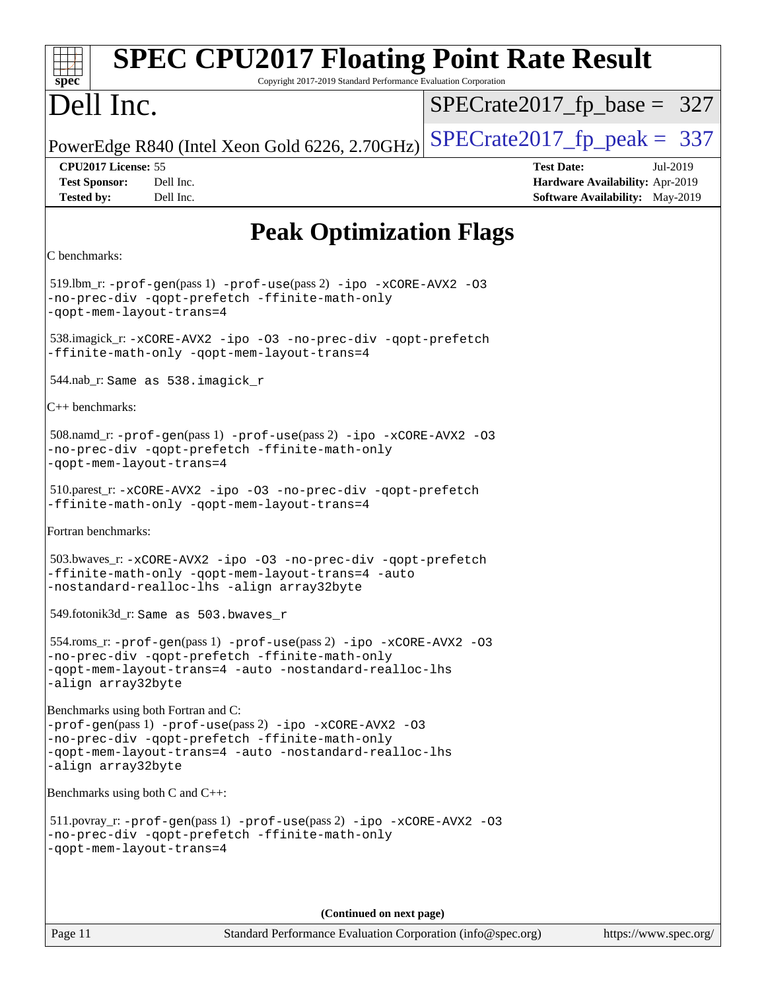| <b>SPEC CPU2017 Floating Point Rate Result</b><br>$spec^*$<br>Copyright 2017-2019 Standard Performance Evaluation Corporation                                                                                                      |                                                                                                            |  |  |  |  |  |
|------------------------------------------------------------------------------------------------------------------------------------------------------------------------------------------------------------------------------------|------------------------------------------------------------------------------------------------------------|--|--|--|--|--|
| Dell Inc.                                                                                                                                                                                                                          | $SPECrate2017_fp\_base = 327$                                                                              |  |  |  |  |  |
| PowerEdge R840 (Intel Xeon Gold 6226, 2.70GHz)                                                                                                                                                                                     | $SPECrate2017fp peak = 337$                                                                                |  |  |  |  |  |
| CPU2017 License: 55<br><b>Test Sponsor:</b><br>Dell Inc.<br><b>Tested by:</b><br>Dell Inc.                                                                                                                                         | <b>Test Date:</b><br>Jul-2019<br>Hardware Availability: Apr-2019<br><b>Software Availability:</b> May-2019 |  |  |  |  |  |
| <b>Peak Optimization Flags</b>                                                                                                                                                                                                     |                                                                                                            |  |  |  |  |  |
| C benchmarks:                                                                                                                                                                                                                      |                                                                                                            |  |  |  |  |  |
| 519.1bm_r: -prof-gen(pass 1) -prof-use(pass 2) -ipo -xCORE-AVX2 -03<br>-no-prec-div -qopt-prefetch -ffinite-math-only<br>-qopt-mem-layout-trans=4                                                                                  |                                                                                                            |  |  |  |  |  |
| 538.imagick_r:-xCORE-AVX2 -ipo -03 -no-prec-div -qopt-prefetch<br>-ffinite-math-only -qopt-mem-layout-trans=4                                                                                                                      |                                                                                                            |  |  |  |  |  |
| 544.nab_r: Same as 538.imagick_r                                                                                                                                                                                                   |                                                                                                            |  |  |  |  |  |
| $C++$ benchmarks:                                                                                                                                                                                                                  |                                                                                                            |  |  |  |  |  |
| 508.namd_r: -prof-gen(pass 1) -prof-use(pass 2) -ipo -xCORE-AVX2 -03<br>-no-prec-div -qopt-prefetch -ffinite-math-only<br>-qopt-mem-layout-trans=4                                                                                 |                                                                                                            |  |  |  |  |  |
| 510.parest_r:-xCORE-AVX2 -ipo -03 -no-prec-div -qopt-prefetch<br>-ffinite-math-only -qopt-mem-layout-trans=4                                                                                                                       |                                                                                                            |  |  |  |  |  |
| Fortran benchmarks:                                                                                                                                                                                                                |                                                                                                            |  |  |  |  |  |
| 503.bwaves_r: -xCORE-AVX2 -ipo -03 -no-prec-div -qopt-prefetch<br>-ffinite-math-only -qopt-mem-layout-trans=4 -auto<br>-nostandard-realloc-lhs -align array32byte                                                                  |                                                                                                            |  |  |  |  |  |
| 549.fotonik3d_r: Same as 503.bwaves_r                                                                                                                                                                                              |                                                                                                            |  |  |  |  |  |
| 554.roms_r: -prof-gen(pass 1) -prof-use(pass 2) -ipo -xCORE-AVX2 -03<br>-no-prec-div -qopt-prefetch -ffinite-math-only<br>-qopt-mem-layout-trans=4 -auto -nostandard-realloc-lhs<br>-align array32byte                             |                                                                                                            |  |  |  |  |  |
| Benchmarks using both Fortran and C:<br>-prof-gen(pass 1) -prof-use(pass 2) -ipo -xCORE-AVX2 -03<br>-no-prec-div -qopt-prefetch -ffinite-math-only<br>-qopt-mem-layout-trans=4 -auto -nostandard-realloc-lhs<br>-align array32byte |                                                                                                            |  |  |  |  |  |
| Benchmarks using both C and C++:                                                                                                                                                                                                   |                                                                                                            |  |  |  |  |  |
| $511.$ povray_r: -prof-gen(pass 1) -prof-use(pass 2) -ipo -xCORE-AVX2 -03<br>-no-prec-div -qopt-prefetch -ffinite-math-only<br>-qopt-mem-layout-trans=4                                                                            |                                                                                                            |  |  |  |  |  |
|                                                                                                                                                                                                                                    |                                                                                                            |  |  |  |  |  |
| (Continued on next page)                                                                                                                                                                                                           |                                                                                                            |  |  |  |  |  |